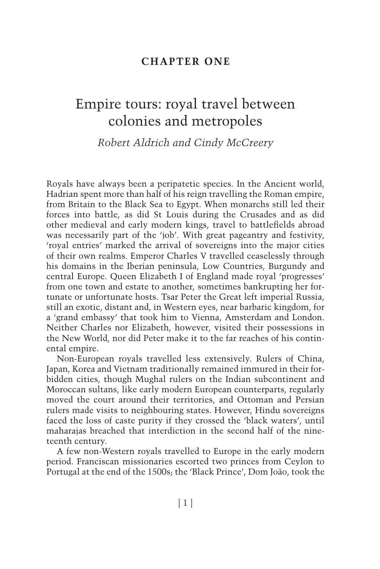### **CHAPTER ONE**

# Empire tours: royal travel between colonies and metropoles

*Robert Aldrichand Cindy McCreery* 

Royals have always been a peripatetic species. In the Ancient world, Hadrian spent more than half of his reign travelling the Roman empire, from Britain to the Black Sea to Egypt. When monarchs still led their forces into battle, as did St Louis during the Crusades and as did other medieval and early modern kings, travel to battlefields abroad was necessarily part of the 'job'. With great pageantry and festivity, 'royal entries' marked the arrival of sovereigns into the major cities of their own realms. Emperor Charles V travelled ceaselessly through his domains in the Iberian peninsula, Low Countries, Burgundy and central Europe. Queen Elizabeth I of England made royal 'progresses' from one town and estate to another, sometimes bankrupting her fortunate or unfortunate hosts. Tsar Peter the Great left imperial Russia, still an exotic, distant and, in Western eyes, near barbaric kingdom, for a 'grand embassy' that took him to Vienna, Amsterdam and London. Neither Charles nor Elizabeth, however, visited their possessions in the New World, nor did Peter make it to the far reaches of his continental empire.

Non- European royals travelled less extensively. Rulers of China, Japan, Korea and Vietnam traditionally remained immured in their forbidden cities, though Mughal rulers on the Indian subcontinent and Moroccan sultans, like early modern European counterparts, regularly moved the court around their territories, and Ottoman and Persian rulers made visits to neighbouring states. However, Hindu sovereigns faced the loss of caste purity if they crossed the 'black waters', until maharajas breached that interdiction in the second half of the nineteenth century.

A few non- Western royals travelled to Europe in the early modern period. Franciscan missionaries escorted two princes from Ceylon to Portugal at the end of the 1500s; the 'Black Prince', Dom João, took the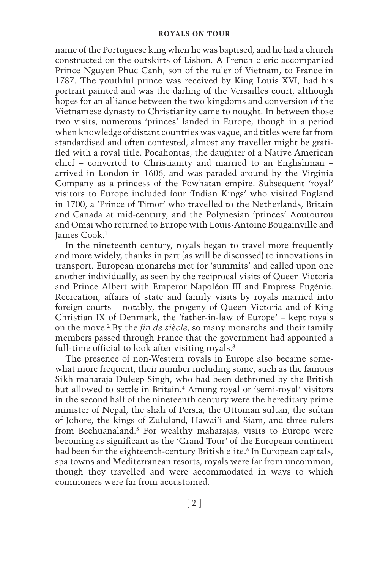name of the Portuguese king when he was baptised, and he had a church constructed on the outskirts of Lisbon. A French cleric accompanied Prince Nguyen Phuc Canh, son of the ruler of Vietnam, to France in 1787. The youthful prince was received by King Louis XVI, had his portrait painted and was the darling of the Versailles court, although hopes for an alliance between the two kingdoms and conversion of the Vietnamese dynasty to Christianity came to nought. In between those two visits, numerous 'princes' landed in Europe, though in a period when knowledge of distant countries was vague, and titles were far from standardised and often contested, almost any traveller might be gratified with a royal title. Pocahontas, the daughter of a Native American chief - converted to Christianity and married to an Englishman arrived in London in 1606, and was paraded around by the Virginia Company as a princess of the Powhatan empire. Subsequent 'royal' visitors to Europe included four 'Indian Kings' who visited England in 1700, a 'Prince of Timor' who travelled to the Netherlands, Britain and Canada at mid- century, and the Polynesian 'princes' Aoutourou and Omai who returned to Europe with Louis- Antoine Bougainville and James Cook. 1

In the nineteenth century, royals began to travel more frequently and more widely, thanks in part (as will be discussed) to innovations in transport. European monarchs met for 'summits' and called upon one another individually, as seen by the reciprocal visits of Queen Victoria and Prince Albert with Emperor Napoléon III and Empress Eugénie. Recreation, affairs of state and family visits by royals married into foreign courts – notably, the progeny of Queen Victoria and of King Christian IX of Denmark, the 'father-in-law of Europe' – kept royals on the move.<sup>2</sup> By the *fin de siècle*, so many monarchs and their family members passed through France that the government had appointed a full-time official to look after visiting royals.<sup>3</sup>

The presence of non-Western royals in Europe also became somewhat more frequent, their number including some, such as the famous Sikh maharaja Duleep Singh, who had been dethroned by the British but allowed to settle in Britain.<sup>4</sup> Among royal or 'semi-royal' visitors in the second half of the nineteenth century were the hereditary prime minister of Nepal, the shah of Persia, the Ottoman sultan, the sultan of Johore, the kings of Zululand, Hawai'i and Siam, and three rulers from Bechuanaland.<sup>5</sup> For wealthy maharajas, visits to Europe were becoming as significant as the 'Grand Tour' of the European continent had been for the eighteenth-century British elite.<sup>6</sup> In European capitals, spa towns and Mediterranean resorts, royals were far from uncommon, though they travelled and were accommodated in ways to which commoners were far from accustomed.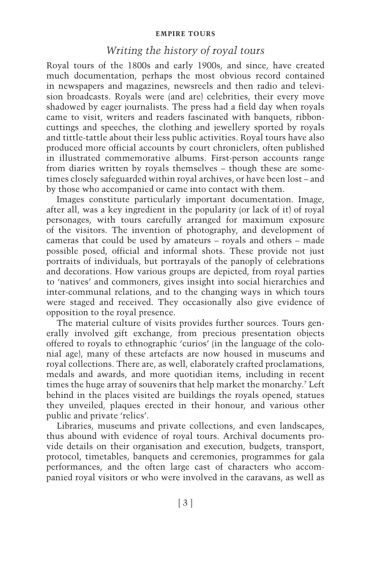### *Writing the history of royal tours*

Royal tours of the 1800s and early 1900s, and since, have created much documentation, perhaps the most obvious record contained in newspapers and magazines, newsreels and then radio and television broadcasts. Royals were (and are) celebrities, their every move shadowed by eager journalists. The press had a field day when royals came to visit, writers and readers fascinated with banquets, ribboncuttings and speeches, the clothing and jewellery sported by royals and tittle- tattle about their less public activities. Royal tours have also produced more official accounts by court chroniclers, often published in illustrated commemorative albums. First-person accounts range from diaries written by royals themselves - though these are sometimes closely safeguarded within royal archives, or have been lost – and by those who accompanied or came into contact with them.

Images constitute particularly important documentation. Image, after all, was a key ingredient in the popularity (or lack of it) of royal personages, with tours carefully arranged for maximum exposure of the visitors. The invention of photography, and development of cameras that could be used by amateurs – royals and others – made possible posed, official and informal shots. These provide not just portraits of individuals, but portrayals of the panoply of celebrations and decorations. How various groups are depicted, from royal parties to 'natives' and commoners, gives insight into social hierarchies and inter- communal relations, and to the changing ways in which tours were staged and received. They occasionally also give evidence of opposition to the royal presence.

The material culture of visits provides further sources. Tours generally involved gift exchange, from precious presentation objects offered to royals to ethnographic 'curios' (in the language of the colonial age), many of these artefacts are now housed in museums and royal collections. There are, as well, elaborately crafted proclamations, medals and awards, and more quotidian items, including in recent times the huge array of souvenirs that help market the monarchy.<sup>7</sup> Left behind in the places visited are buildings the royals opened, statues they unveiled, plaques erected in their honour, and various other public and private 'relics'.

Libraries, museums and private collections, and even landscapes, thus abound with evidence of royal tours. Archival documents provide details on their organisation and execution, budgets, transport, protocol, timetables, banquets and ceremonies, programmes for gala performances, and the often large cast of characters who accompanied royal visitors or who were involved in the caravans, as well as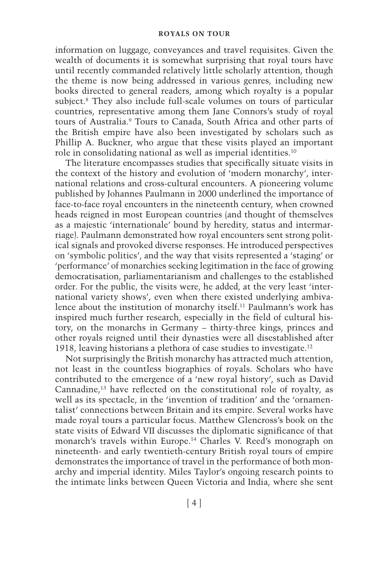#### **ROYALS ON TOUR**

information on luggage, conveyances and travel requisites. Given the wealth of documents it is somewhat surprising that royal tours have until recently commanded relatively little scholarly attention, though the theme is now being addressed in various genres, including new books directed to general readers, among which royalty is a popular subject.<sup>8</sup> They also include full-scale volumes on tours of particular countries, representative among them Jane Connors's study of royal tours of Australia.<sup>9</sup> Tours to Canada, South Africa and other parts of the British empire have also been investigated by scholars such as Phillip A. Buckner, who argue that these visits played an important role in consolidating national as well as imperial identities. 10

The literature encompasses studies that specifically situate visits in the context of the history and evolution of 'modern monarchy', international relations and cross- cultural encounters. A pioneering volume published by Johannes Paulmann in 2000 underlined the importance of face- to- face royal encounters in the nineteenth century, when crowned heads reigned in most European countries (and thought of themselves as a majestic 'internationale' bound by heredity, status and intermarriage). Paulmann demonstrated how royal encounters sent strong political signals and provoked diverse responses. He introduced perspectives on 'symbolic politics', and the way that visits represented a 'staging' or 'performance' of monarchies seeking legitimation in the face of growing democratisation, parliamentarianism and challenges to the established order. For the public, the visits were, he added, at the very least 'international variety shows', even when there existed underlying ambivalence about the institution of monarchy itself. 11 Paulmann's work has inspired much further research, especially in the field of cultural history, on the monarchs in Germany – thirty-three kings, princes and other royals reigned until their dynasties were all disestablished after 1918, leaving historians a plethora of case studies to investigate. 12

Not surprisingly the British monarchy has attracted much attention, not least in the countless biographies of royals. Scholars who have contributed to the emergence of a 'new royal history', such as David Cannadine,<sup>13</sup> have reflected on the constitutional role of royalty, as well as its spectacle, in the 'invention of tradition' and the 'ornamentalist' connections between Britain and its empire. Several works have made royal tours a particular focus. Matthew Glencross's book on the state visits of Edward VII discusses the diplomatic significance of that monarch's travels within Europe.<sup>14</sup> Charles V. Reed's monograph on nineteenth-and early twentieth- century British royal tours of empire demonstrates the importance of travel in the performance of both monarchy and imperial identity. Miles Taylor's ongoing research points to the intimate links between Queen Victoria and India, where she sent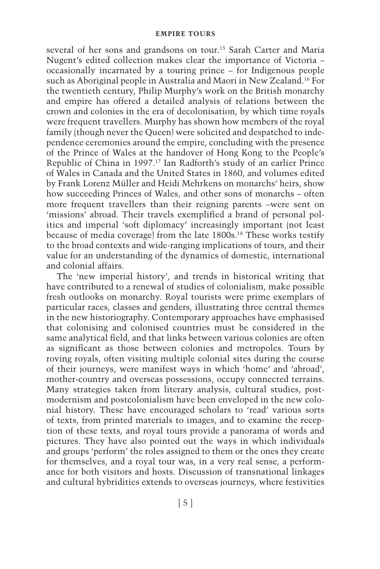several of her sons and grandsons on tour.<sup>15</sup> Sarah Carter and Maria Nugent's edited collection makes clear the importance of Victoria –  $occasionally$  incarnated by a touring prince  $-\hat{f}$  or Indigenous people such as Aboriginal people in Australia and Maori in New Zealand. 16 For the twentieth century, Philip Murphy's work on the British monarchy and empire has offered a detailed analysis of relations between the crown and colonies in the era of decolonisation, by which time royals were frequent travellers. Murphy has shown how members of the royal family (though never the Queen) were solicited and despatched to independence ceremonies around the empire, concluding with the presence of the Prince of Wales at the handover of Hong Kong to the People's Republic of China in 1997.<sup>17</sup> Ian Radforth's study of an earlier Prince of Wales in Canada and the United States in 1860, and volumes edited by Frank Lorenz Müller and Heidi Mehrkens on monarchs' heirs, show how succeeding Princes of Wales, and other sons of monarchs – often more frequent travellers than their reigning parents – were sent on 'missions' abroad. Their travels exemplified a brand of personal politics and imperial 'soft diplomacy' increasingly important (not least because of media coverage) from the late 1800s. 18 These works testify to the broad contexts and wide- ranging implications of tours, and their value for an understanding of the dynamics of domestic, international and colonial affairs.

The 'new imperial history', and trends in historical writing that have contributed to a renewal of studies of colonialism, make possible fresh outlooks on monarchy. Royal tourists were prime exemplars of particular races, classes and genders, illustrating three central themes in the new historiography. Contemporary approaches have emphasised that colonising and colonised countries must be considered in the same analytical field, and that links between various colonies are often as significant as those between colonies and metropoles. Tours by roving royals, often visiting multiple colonial sites during the course of their journeys, were manifest ways in which 'home' and 'abroad', mother- country and overseas possessions, occupy connected terrains. Many strategies taken from literary analysis, cultural studies, postmodernism and postcolonialism have been enveloped in the new colonial history. These have encouraged scholars to 'read' various sorts of texts, from printed materials to images, and to examine the reception of these texts, and royal tours provide a panorama of words and pictures. They have also pointed out the ways in which individuals and groups 'perform' the roles assigned to them or the ones they create for themselves, and a royal tour was, in a very real sense, a performance for both visitors and hosts. Discussion of transnational linkages and cultural hybridities extends to overseas journeys, where festivities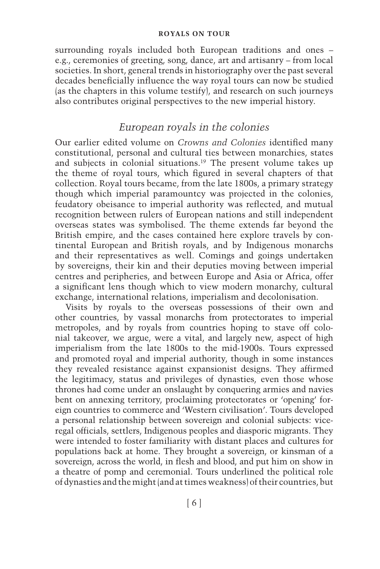#### **ROYALS ON TOUR**

surrounding royals included both European traditions and ones – e.g., ceremonies of greeting, song, dance, art and artisanry –from local societies. In short, general trends in historiography over the past several decades beneficially influence the way royal tours can now be studied (as the chapters in this volume testify), and research on such journeys also contributes original perspectives to the new imperial history.

## *European royals in the colonies*

Our earlier edited volume on *Crowns and Colonies* identified many constitutional, personal and cultural ties between monarchies, states and subjects in colonial situations.<sup>19</sup> The present volume takes up the theme of royal tours, which figured in several chapters of that collection. Royal tours became, from the late 1800s, a primary strategy though which imperial paramountcy was projected in the colonies, feudatory obeisance to imperial authority was reflected, and mutual recognition between rulers of European nations and still independent overseas states was symbolised. The theme extends far beyond the British empire, and the cases contained here explore travels by continental European and British royals, and by Indigenous monarchs and their representatives as well. Comings and goings undertaken by sovereigns, their kin and their deputies moving between imperial centres and peripheries, and between Europe and Asia or Africa, offer a significant lens though which to view modern monarchy, cultural exchange, international relations, imperialism and decolonisation.

Visits by royals to the overseas possessions of their own and other countries, by vassal monarchs from protectorates to imperial metropoles, and by royals from countries hoping to stave off colonial takeover, we argue, were a vital, and largely new, aspect of high imperialism from the late 1800s to the mid- 1900s. Tours expressed and promoted royal and imperial authority, though in some instances they revealed resistance against expansionist designs. They affirmed the legitimacy, status and privileges of dynasties, even those whose thrones had come under an onslaught by conquering armies and navies bent on annexing territory, proclaiming protectorates or 'opening' foreign countries to commerce and 'Western civilisation'. Tours developed a personal relationship between sovereign and colonial subjects: viceregal officials, settlers, Indigenous peoples and diasporic migrants. They were intended to foster familiarity with distant places and cultures for populations back at home. They brought a sovereign, or kinsman of a sovereign, across the world, in flesh and blood, and put him on show in a theatre of pomp and ceremonial. Tours underlined the political role of dynasties and the might (and at times weakness) of their countries, but

[ 6 ]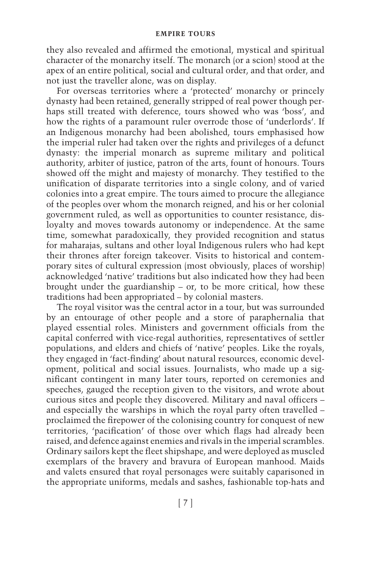they also revealed and affirmed the emotional, mystical and spiritual character of the monarchy itself. The monarch (or a scion) stood at the apex of an entire political, social and cultural order, and that order, and not just the traveller alone, was on display.

For overseas territories where a 'protected' monarchy or princely dynasty had been retained, generally stripped of real power though perhaps still treated with deference, tours showed who was 'boss', and how the rights of a paramount ruler overrode those of 'underlords'. If an Indigenous monarchy had been abolished, tours emphasised how the imperial ruler had taken over the rights and privileges of a defunct dynasty: the imperial monarch as supreme military and political authority, arbiter of justice, patron of the arts, fount of honours. Tours showed off the might and majesty of monarchy. They testified to the unification of disparate territories into a single colony, and of varied colonies into a great empire. The tours aimed to procure the allegiance of the peoples over whom the monarch reigned, and his or her colonial government ruled, as well as opportunities to counter resistance, disloyalty and moves towards autonomy or independence. At the same time, somewhat paradoxically, they provided recognition and status for maharajas, sultans and other loyal Indigenous rulers who had kept their thrones after foreign takeover. Visits to historical and contemporary sites of cultural expression (most obviously, places of worship) acknowledged 'native' traditions but also indicated how they had been brought under the guardianship – or, to be more critical, how these traditions had been appropriated –by colonial masters.

The royal visitor was the central actor in a tour, but was surrounded by an entourage of other people and a store of paraphernalia that played essential roles. Ministers and government officials from the capital conferred with vice- regal authorities, representatives of settler populations, and elders and chiefs of 'native' peoples. Like the royals, they engaged in 'fact-finding' about natural resources, economic development, political and social issues. Journalists, who made up a significant contingent in many later tours, reported on ceremonies and speeches, gauged the reception given to the visitors, and wrote about curious sites and people they discovered. Military and naval officers – and especially the warships in which the royal party often travelled – proclaimed the firepower of the colonising country for conquest of new territories, 'pacification' of those over which flags had already been raised, and defence against enemies and rivals in the imperial scrambles. Ordinary sailors kept the fleet shipshape, and were deployed as muscled exemplars of the bravery and bravura of European manhood. Maids and valets ensured that royal personages were suitably caparisoned in the appropriate uniforms, medals and sashes, fashionable top-hats and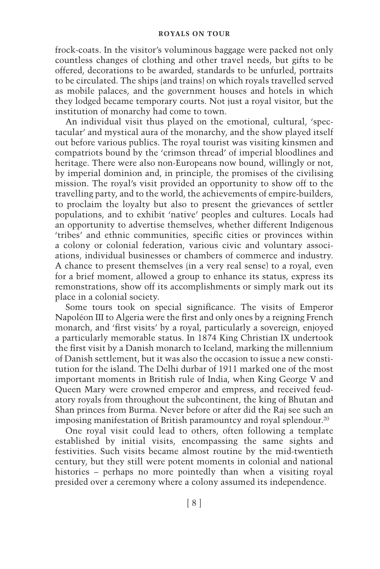frock- coats. In the visitor's voluminous baggage were packed not only countless changes of clothing and other travel needs, but gifts to be offered, decorations to be awarded, standards to be unfurled, portraits to be circulated. The ships (and trains) on which royals travelled served as mobile palaces, and the government houses and hotels in which they lodged became temporary courts. Not just a royal visitor, but the institution of monarchy had come to town.

An individual visit thus played on the emotional, cultural, 'spectacular' and mystical aura of the monarchy, and the show played itself out before various publics. The royal tourist was visiting kinsmen and compatriots bound by the 'crimson thread' of imperial bloodlines and heritage. There were also non-Europeans now bound, willingly or not, by imperial dominion and, in principle, the promises of the civilising mission. The royal's visit provided an opportunity to show off to the travelling party, and to the world, the achievements of empire- builders, to proclaim the loyalty but also to present the grievances of settler populations, and to exhibit 'native' peoples and cultures. Locals had an opportunity to advertise themselves, whether different Indigenous 'tribes' and ethnic communities, specific cities or provinces within a colony or colonial federation, various civic and voluntary associations, individual businesses or chambers of commerce and industry. A chance to present themselves (in a very real sense) to a royal, even for a brief moment, allowed a group to enhance its status, express its remonstrations, show off its accomplishments or simply mark out its place in a colonial society.

Some tours took on special significance. The visits of Emperor Napoléon III to Algeria were the first and only ones by a reigning French monarch, and 'first visits' by a royal, particularly a sovereign, enjoyed a particularly memorable status. In 1874 King Christian IX undertook the first visit by a Danish monarch to Iceland, marking the millennium of Danish settlement, but it was also the occasion to issue a new constitution for the island. The Delhi durbar of 1911 marked one of the most important moments in British rule of India, when King George V and Queen Mary were crowned emperor and empress, and received feudatory royals from throughout the subcontinent, the king of Bhutan and Shan princes from Burma. Never before or after did the Raj see such an imposing manifestation of British paramountcy and royal splendour. 20

One royal visit could lead to others, often following a template established by initial visits, encompassing the same sights and festivities. Such visits became almost routine by the mid-twentieth century, but they still were potent moments in colonial and national histories – perhaps no more pointedly than when a visiting royal presided over a ceremony where a colony assumed its independence.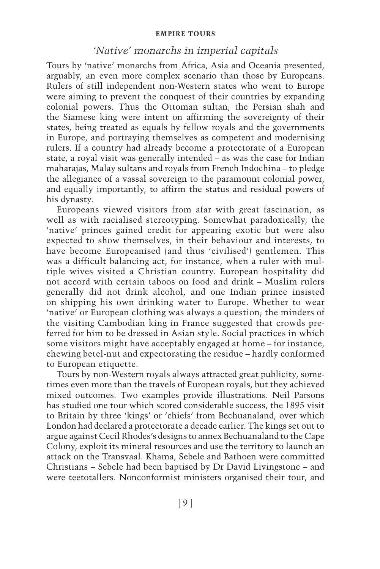### *'Native' monarchs in imperial capitals*

Tours by 'native' monarchs from Africa, Asia and Oceania presented, arguably, an even more complex scenario than those by Europeans. Rulers of still independent non- Western states who went to Europe were aiming to prevent the conquest of their countries by expanding colonial powers. Thus the Ottoman sultan, the Persian shah and the Siamese king were intent on affirming the sovereignty of their states, being treated as equals by fellow royals and the governments in Europe, and portraying themselves as competent and modernising rulers. If a country had already become a protectorate of a European state, a royal visit was generally intended –as was the case for Indian maharajas, Malay sultans and royals from French Indochina –to pledge the allegiance of a vassal sovereign to the paramount colonial power, and equally importantly, to affirm the status and residual powers of his dynasty.

Europeans viewed visitors from afar with great fascination, as well as with racialised stereotyping. Somewhat paradoxically, the 'native' princes gained credit for appearing exotic but were also expected to show themselves, in their behaviour and interests, to have become Europeanised (and thus 'civilised') gentlemen. This was a difficult balancing act, for instance, when a ruler with multiple wives visited a Christian country. European hospitality did not accord with certain taboos on food and drink – Muslim rulers generally did not drink alcohol, and one Indian prince insisted on shipping his own drinking water to Europe. Whether to wear 'native' or European clothing was always a question; the minders of the visiting Cambodian king in France suggested that crowds preferred for him to be dressed in Asian style. Social practices in which some visitors might have acceptably engaged at home – for instance, chewing betel- nut and expectorating the residue –hardly conformed to European etiquette.

Tours by non- Western royals always attracted great publicity, sometimes even more than the travels of European royals, but they achieved mixed outcomes. Two examples provide illustrations. Neil Parsons has studied one tour which scored considerable success, the 1895 visit to Britain by three 'kings' or 'chiefs' from Bechuanaland, over which London had declared a protectorate a decade earlier. The kings set out to argue against Cecil Rhodes's designs to annex Bechuanaland to the Cape Colony, exploit its mineral resources and use the territory to launch an attack on the Transvaal. Khama, Sebele and Bathoen were committed Christians – Sebele had been baptised by Dr David Livingstone – and were teetotallers. Nonconformist ministers organised their tour, and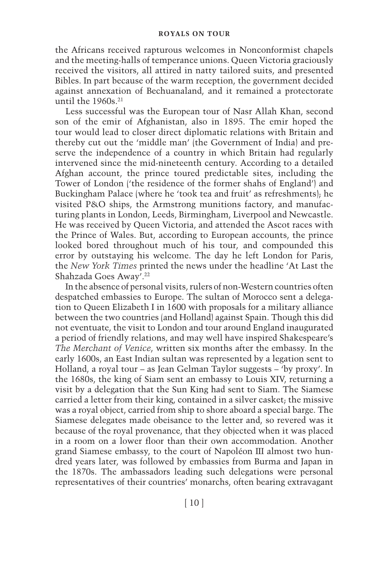the Africans received rapturous welcomes in Nonconformist chapels and the meeting-halls of temperance unions. Queen Victoria graciously received the visitors, all attired in natty tailored suits, and presented Bibles. In part because of the warm reception, the government decided against annexation of Bechuanaland, and it remained a protectorate until the  $1960s$ .<sup>21</sup>

Less successful was the European tour of Nasr Allah Khan, second son of the emir of Afghanistan, also in 1895. The emir hoped the tour would lead to closer direct diplomatic relations with Britain and thereby cut out the 'middle man' (the Government of India) and preserve the independence of a country in which Britain had regularly intervened since the mid-nineteenth century. According to a detailed Afghan account, the prince toured predictable sites, including the Tower of London ('the residence of the former shahs of England') and Buckingham Palace (where he 'took tea and fruit' as refreshments); he visited P&O ships, the Armstrong munitions factory, and manufacturing plants in London, Leeds, Birmingham, Liverpool and Newcastle. He was received by Queen Victoria, and attended the Ascot races with the Prince of Wales. But, according to European accounts, the prince looked bored throughout much of his tour, and compounded this error by outstaying his welcome. The day he left London for Paris, the *New York Times* printed the news under the headline 'At Last the Shahzada Goes Away'.<sup>22</sup>

In the absence of personal visits, rulers of non- Western countries often despatched embassies to Europe. The sultan of Morocco sent a delegation to Queen Elizabeth I in 1600 with proposals for a military alliance between the two countries (and Holland) against Spain. Though this did not eventuate, the visit to London and tour around England inaugurated a period of friendly relations, and may well have inspired Shakespeare's *The Merchant of Venice* , written six months after the embassy. In the early 1600s, an East Indian sultan was represented by a legation sent to Holland, a royal tour – as Jean Gelman Taylor suggests – 'by proxy'. In the 1680s, the king of Siam sent an embassy to Louis XIV, returning a visit by a delegation that the Sun King had sent to Siam. The Siamese carried a letter from their king, contained in a silver casket; the missive was a royal object, carried from ship to shore aboard a special barge. The Siamese delegates made obeisance to the letter and, so revered was it because of the royal provenance, that they objected when it was placed in a room on a lower floor than their own accommodation. Another grand Siamese embassy, to the court of Napoléon III almost two hundred years later, was followed by embassies from Burma and Japan in the 1870s. The ambassadors leading such delegations were personal representatives of their countries' monarchs, often bearing extravagant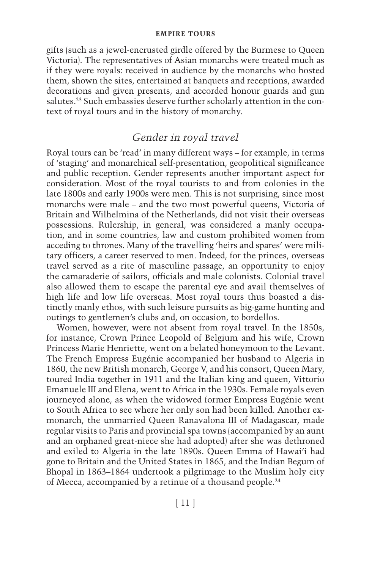gifts (such as a jewel- encrusted girdle offered by the Burmese to Queen Victoria). The representatives of Asian monarchs were treated much as if they were royals: received in audience by the monarchs who hosted them, shown the sites, entertained at banquets and receptions, awarded decorations and given presents, and accorded honour guards and gun salutes.<sup>23</sup> Such embassies deserve further scholarly attention in the context of royal tours and in the history of monarchy.

## *Gender in royal travel*

Royal tours can be 'read' in many different ways – for example, in terms of 'staging' and monarchical self-presentation, geopolitical significance and public reception. Gender represents another important aspect for consideration. Most of the royal tourists to and from colonies in the late 1800s and early 1900s were men. This is not surprising, since most monarchs were male – and the two most powerful queens, Victoria of Britain and Wilhelmina of the Netherlands, did not visit their overseas possessions. Rulership, in general, was considered a manly occupation, and in some countries, law and custom prohibited women from acceding to thrones. Many of the travelling 'heirs and spares' were military officers, a career reserved to men. Indeed, for the princes, overseas travel served as a rite of masculine passage, an opportunity to enjoy the camaraderie of sailors, officials and male colonists. Colonial travel also allowed them to escape the parental eye and avail themselves of high life and low life overseas. Most royal tours thus boasted a distinctly manly ethos, with such leisure pursuits as big-game hunting and outings to gentlemen's clubs and, on occasion, to bordellos.

Women, however, were not absent from royal travel. In the 1850s, for instance, Crown Prince Leopold of Belgium and his wife, Crown Princess Marie Henriette, went on a belated honeymoon to the Levant. The French Empress Eugénie accompanied her husband to Algeria in 1860, the new British monarch, George V, and his consort, Queen Mary, toured India together in 1911 and the Italian king and queen, Vittorio Emanuele III and Elena, went to Africa in the 1930s. Female royals even journeyed alone, as when the widowed former Empress Eugénie went to South Africa to see where her only son had been killed. Another exmonarch, the unmarried Queen Ranavalona III of Madagascar, made regular visits to Paris and provincial spa towns (accompanied by an aunt and an orphaned great- niece she had adopted) after she was dethroned and exiled to Algeria in the late 1890s. Queen Emma of Hawai'i had gone to Britain and the United States in 1865, and the Indian Begum of Bhopal in 1863– 1864 undertook a pilgrimage to the Muslim holy city of Mecca, accompanied by a retinue of a thousand people. 24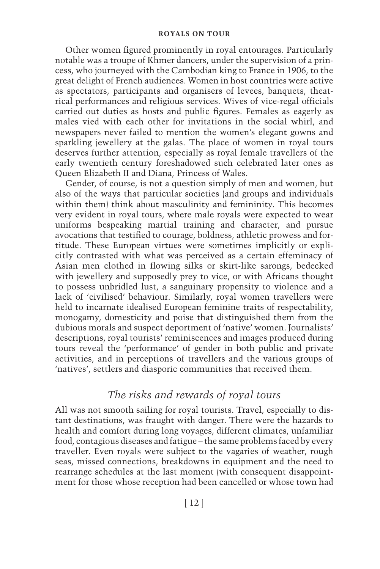#### **ROYALS ON TOUR**

Other women figured prominently in royal entourages. Particularly notable was a troupe of Khmer dancers, under the supervision of a princess, who journeyed with the Cambodian king to France in 1906, to the great delight of French audiences. Women in host countries were active as spectators, participants and organisers of levees, banquets, theatrical performances and religious services. Wives of vice- regal officials carried out duties as hosts and public figures. Females as eagerly as males vied with each other for invitations in the social whirl, and newspapers never failed to mention the women's elegant gowns and sparkling jewellery at the galas. The place of women in royal tours deserves further attention, especially as royal female travellers of the early twentieth century foreshadowed such celebrated later ones as Queen Elizabeth II and Diana, Princess of Wales.

Gender, of course, is not a question simply of men and women, but also of the ways that particular societies (and groups and individuals within them) think about masculinity and femininity. This becomes very evident in royal tours, where male royals were expected to wear uniforms bespeaking martial training and character, and pursue avocations that testified to courage, boldness, athletic prowess and fortitude. These European virtues were sometimes implicitly or explicitly contrasted with what was perceived as a certain effeminacy of Asian men clothed in flowing silks or skirt-like sarongs, bedecked with jewellery and supposedly prey to vice, or with Africans thought to possess unbridled lust, a sanguinary propensity to violence and a lack of 'civilised' behaviour. Similarly, royal women travellers were held to incarnate idealised European feminine traits of respectability, monogamy, domesticity and poise that distinguished them from the dubious morals and suspect deportment of 'native' women. Journalists' descriptions, royal tourists' reminiscences and images produced during tours reveal the 'performance' of gender in both public and private activities, and in perceptions of travellers and the various groups of 'natives', settlers and diasporic communities that received them.

# *The risks and rewards of royal tours*

All was not smooth sailing for royal tourists. Travel, especially to distant destinations, was fraught with danger. There were the hazards to health and comfort during long voyages, different climates, unfamiliar food, contagious diseases and fatigue –the same problems faced by every traveller. Even royals were subject to the vagaries of weather, rough seas, missed connections, breakdowns in equipment and the need to rearrange schedules at the last moment (with consequent disappointment for those whose reception had been cancelled or whose town had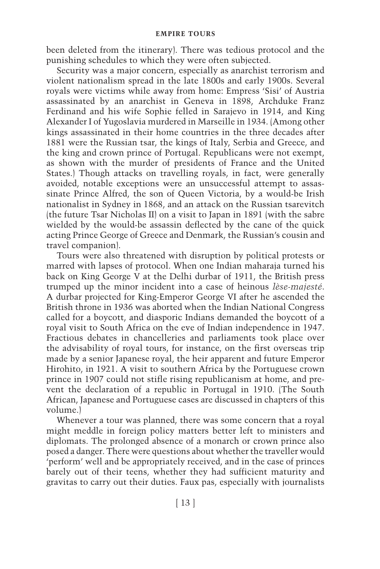been deleted from the itinerary). There was tedious protocol and the punishing schedules to which they were often subjected.

Security was a major concern, especially as anarchist terrorism and violent nationalism spread in the late 1800s and early 1900s. Several royals were victims while away from home: Empress 'Sisi' of Austria assassinated by an anarchist in Geneva in 1898, Archduke Franz Ferdinand and his wife Sophie felled in Sarajevo in 1914, and King Alexander I of Yugoslavia murdered in Marseille in 1934. (Among other kings assassinated in their home countries in the three decades after 1881 were the Russian tsar, the kings of Italy, Serbia and Greece, and the king and crown prince of Portugal. Republicans were not exempt, as shown with the murder of presidents of France and the United States.) Though attacks on travelling royals, in fact, were generally avoided, notable exceptions were an unsuccessful attempt to assassinate Prince Alfred, the son of Queen Victoria, by a would-be Irish nationalist in Sydney in 1868, and an attack on the Russian tsarevitch (the future Tsar Nicholas II) on a visit to Japan in 1891 (with the sabre wielded by the would-be assassin deflected by the cane of the quick acting Prince George of Greece and Denmark, the Russian's cousin and travel companion).

Tours were also threatened with disruption by political protests or marred with lapses of protocol. When one Indian maharaja turned his back on King George V at the Delhi durbar of 1911, the British press trumped up the minor incident into a case of heinous *lèse- majesté* . A durbar projected for King-Emperor George VI after he ascended the British throne in 1936 was aborted when the Indian National Congress called for a boycott, and diasporic Indians demanded the boycott of a royal visit to South Africa on the eve of Indian independence in 1947. Fractious debates in chancelleries and parliaments took place over the advisability of royal tours, for instance, on the first overseas trip made by a senior Japanese royal, the heir apparent and future Emperor Hirohito, in 1921. A visit to southern Africa by the Portuguese crown prince in 1907 could not stifle rising republicanism at home, and prevent the declaration of a republic in Portugal in 1910. (The South African, Japanese and Portuguese cases are discussed in chapters of this volume.)

Whenever a tour was planned, there was some concern that a royal might meddle in foreign policy matters better left to ministers and diplomats. The prolonged absence of a monarch or crown prince also posed a danger. There were questions about whether the traveller would 'perform' well and be appropriately received, and in the case of princes barely out of their teens, whether they had sufficient maturity and gravitas to carry out their duties. Faux pas, especially with journalists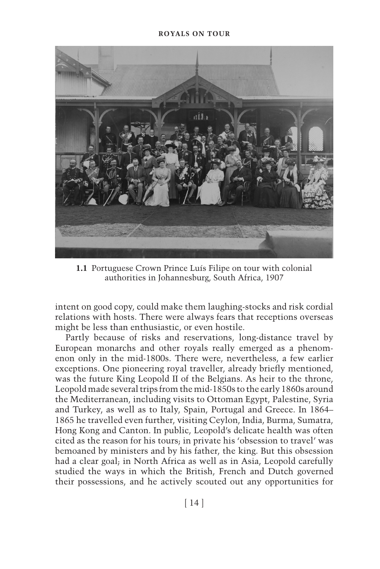

**1.1** Portuguese Crown Prince Luís Filipe on tour with colonial authorities in Johannesburg, South Africa, 1907

intent on good copy, could make them laughing- stocks and risk cordial relations with hosts. There were always fears that receptions overseas might be less than enthusiastic, or even hostile.

Partly because of risks and reservations, long-distance travel by European monarchs and other royals really emerged as a phenomenon only in the mid- 1800s. There were, nevertheless, a few earlier exceptions. One pioneering royal traveller, already briefly mentioned, was the future King Leopold II of the Belgians. As heir to the throne, Leopold made several trips from the mid- 1850s to the early 1860s around the Mediterranean, including visits to Ottoman Egypt, Palestine, Syria and Turkey, as well as to Italy, Spain, Portugal and Greece. In 1864– 1865 he travelled even further, visiting Ceylon, India, Burma, Sumatra, Hong Kong and Canton. In public, Leopold's delicate health was often cited as the reason for his tours; in private his 'obsession to travel' was bemoaned by ministers and by his father, the king. But this obsession had a clear goal; in North Africa as well as in Asia, Leopold carefully studied the ways in which the British, French and Dutch governed their possessions, and he actively scouted out any opportunities for

[ 14 ]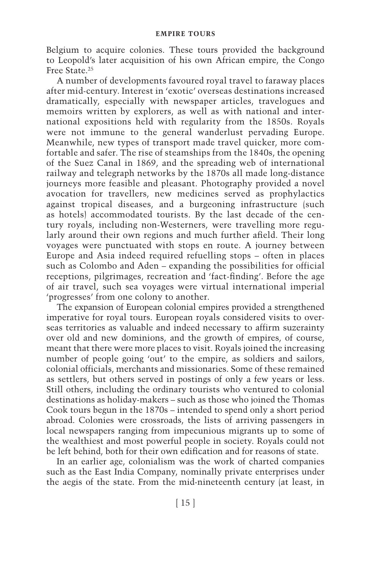Belgium to acquire colonies. These tours provided the background to Leopold's later acquisition of his own African empire, the Congo Free State<sup>25</sup>

A number of developments favoured royal travel to faraway places after mid- century. Interest in 'exotic' overseas destinations increased dramatically, especially with newspaper articles, travelogues and memoirs written by explorers, as well as with national and international expositions held with regularity from the 1850s. Royals were not immune to the general wanderlust pervading Europe. Meanwhile, new types of transport made travel quicker, more comfortable and safer. The rise of steamships from the 1840s, the opening of the Suez Canal in 1869, and the spreading web of international railway and telegraph networks by the 1870s all made long- distance journeys more feasible and pleasant. Photography provided a novel avocation for travellers, new medicines served as prophylactics against tropical diseases, and a burgeoning infrastructure (such as hotels) accommodated tourists. By the last decade of the century royals, including non-Westerners, were travelling more regularly around their own regions and much further afield. Their long voyages were punctuated with stops en route. A journey between Europe and Asia indeed required refuelling stops – often in places such as Colombo and Aden – expanding the possibilities for official receptions, pilgrimages, recreation and 'fact-finding'. Before the age of air travel, such sea voyages were virtual international imperial 'progresses' from one colony to another.

The expansion of European colonial empires provided a strengthened imperative for royal tours. European royals considered visits to overseas territories as valuable and indeed necessary to affirm suzerainty over old and new dominions, and the growth of empires, of course, meant that there were more places to visit. Royals joined the increasing number of people going 'out' to the empire, as soldiers and sailors, colonial officials, merchants and missionaries. Some of these remained as settlers, but others served in postings of only a few years or less. Still others, including the ordinary tourists who ventured to colonial destinations as holiday-makers - such as those who joined the Thomas Cook tours begun in the 1870s – intended to spend only a short period abroad. Colonies were crossroads, the lists of arriving passengers in local newspapers ranging from impecunious migrants up to some of the wealthiest and most powerful people in society. Royals could not be left behind, both for their own edification and for reasons of state.

In an earlier age, colonialism was the work of charted companies such as the East India Company, nominally private enterprises under the aegis of the state. From the mid-nineteenth century (at least, in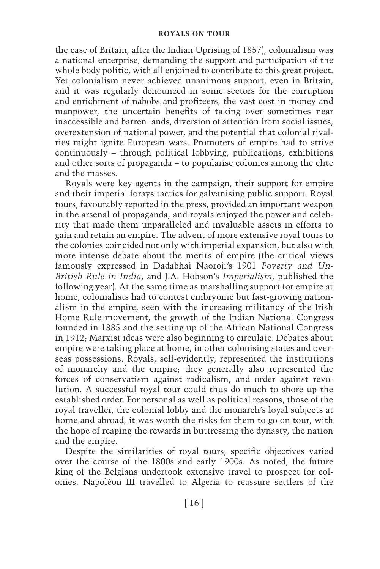the case of Britain, after the Indian Uprising of 1857), colonialism was a national enterprise, demanding the support and participation of the whole body politic, with all enjoined to contribute to this great project. Yet colonialism never achieved unanimous support, even in Britain, and it was regularly denounced in some sectors for the corruption and enrichment of nabobs and profiteers, the vast cost in money and manpower, the uncertain benefits of taking over sometimes near inaccessible and barren lands, diversion of attention from social issues, overextension of national power, and the potential that colonial rivalries might ignite European wars. Promoters of empire had to strive  $continuously - through political lobying, publications, exhibits$ and other sorts of propaganda – to popularise colonies among the elite and the masses.

Royals were key agents in the campaign, their support for empire and their imperial forays tactics for galvanising public support. Royal tours, favourably reported in the press, provided an important weapon in the arsenal of propaganda, and royals enjoyed the power and celebrity that made them unparalleled and invaluable assets in efforts to gain and retain an empire. The advent of more extensive royal tours to the colonies coincided not only with imperial expansion, but also with more intense debate about the merits of empire (the critical views famously expressed in Dadabhai Naoroji's 1901 *Poverty and Un-British Rule in India* , and J.A. Hobson's *Imperialism* , published the following year). At the same time as marshalling support for empire at home, colonialists had to contest embryonic but fast-growing nationalism in the empire, seen with the increasing militancy of the Irish Home Rule movement, the growth of the Indian National Congress founded in 1885 and the setting up of the African National Congress in 1912; Marxist ideas were also beginning to circulate. Debates about empire were taking place at home, in other colonising states and overseas possessions. Royals, self-evidently, represented the institutions of monarchy and the empire; they generally also represented the forces of conservatism against radicalism, and order against revolution. A successful royal tour could thus do much to shore up the established order. For personal as well as political reasons, those of the royal traveller, the colonial lobby and the monarch's loyal subjects at home and abroad, it was worth the risks for them to go on tour, with the hope of reaping the rewards in buttressing the dynasty, the nation and the empire.

Despite the similarities of royal tours, specific objectives varied over the course of the 1800s and early 1900s. As noted, the future king of the Belgians undertook extensive travel to prospect for colonies. Napoléon III travelled to Algeria to reassure settlers of the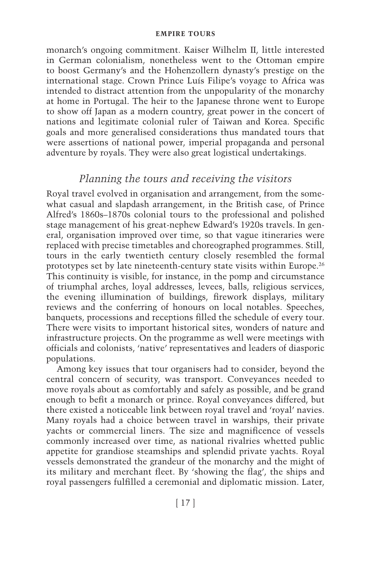monarch's ongoing commitment. Kaiser Wilhelm II, little interested in German colonialism, nonetheless went to the Ottoman empire to boost Germany's and the Hohenzollern dynasty's prestige on the international stage. Crown Prince Luís Filipe's voyage to Africa was intended to distract attention from the unpopularity of the monarchy at home in Portugal. The heir to the Japanese throne went to Europe to show off Japan as a modern country, great power in the concert of nations and legitimate colonial ruler of Taiwan and Korea. Specific goals and more generalised considerations thus mandated tours that were assertions of national power, imperial propaganda and personal adventure by royals. They were also great logistical undertakings.

# *Planning the tours and receiving the visitors*

Royal travel evolved in organisation and arrangement, from the somewhat casual and slapdash arrangement, in the British case, of Prince Alfred's 1860s–1870s colonial tours to the professional and polished stage management of his great- nephew Edward's 1920s travels. In general, organisation improved over time, so that vague itineraries were replaced with precise timetables and choreographed programmes. Still, tours in the early twentieth century closely resembled the formal prototypes set by late nineteenth- century state visits within Europe. 26 This continuity is visible, for instance, in the pomp and circumstance of triumphal arches, loyal addresses, levees, balls, religious services, the evening illumination of buildings, firework displays, military reviews and the conferring of honours on local notables. Speeches, banquets, processions and receptions filled the schedule of every tour. There were visits to important historical sites, wonders of nature and infrastructure projects. On the programme as well were meetings with officials and colonists, 'native' representatives and leaders of diasporic populations.

Among key issues that tour organisers had to consider, beyond the central concern of security, was transport. Conveyances needed to move royals about as comfortably and safely as possible, and be grand enough to befit a monarch or prince. Royal conveyances differed, but there existed a noticeable link between royal travel and 'royal' navies. Many royals had a choice between travel in warships, their private yachts or commercial liners. The size and magnificence of vessels commonly increased over time, as national rivalries whetted public appetite for grandiose steamships and splendid private yachts. Royal vessels demonstrated the grandeur of the monarchy and the might of its military and merchant fleet. By 'showing the flag', the ships and royal passengers fulfilled a ceremonial and diplomatic mission. Later,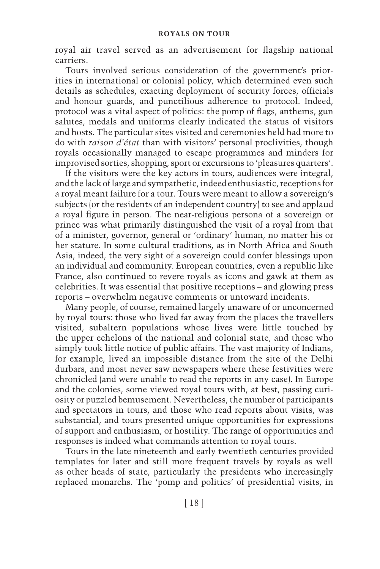royal air travel served as an advertisement for flagship national carriers.

Tours involved serious consideration of the government's priorities in international or colonial policy, which determined even such details as schedules, exacting deployment of security forces, officials and honour guards, and punctilious adherence to protocol. Indeed, protocol was a vital aspect of politics: the pomp of flags, anthems, gun salutes, medals and uniforms clearly indicated the status of visitors and hosts. The particular sites visited and ceremonies held had more to do with *raison d'état* than with visitors' personal proclivities, though royals occasionally managed to escape programmes and minders for improvised sorties, shopping, sport or excursions to 'pleasures quarters'.

If the visitors were the key actors in tours, audiences were integral, and the lack of large and sympathetic, indeed enthusiastic, receptions for a royal meant failure for a tour. Tours were meant to allow a sovereign's subjects (or the residents of an independent country) to see and applaud a royal figure in person. The near-religious persona of a sovereign or prince was what primarily distinguished the visit of a royal from that of a minister, governor, general or 'ordinary' human, no matter his or her stature. In some cultural traditions, as in North Africa and South Asia, indeed, the very sight of a sovereign could confer blessings upon an individual and community. European countries, even a republic like France, also continued to revere royals as icons and gawk at them as celebrities. It was essential that positive receptions –and glowing press reports – overwhelm negative comments or untoward incidents.

Many people, of course, remained largely unaware of or unconcerned by royal tours: those who lived far away from the places the travellers visited, subaltern populations whose lives were little touched by the upper echelons of the national and colonial state, and those who simply took little notice of public affairs. The vast majority of Indians, for example, lived an impossible distance from the site of the Delhi durbars, and most never saw newspapers where these festivities were chronicled (and were unable to read the reports in any case). In Europe and the colonies, some viewed royal tours with, at best, passing curiosity or puzzled bemusement. Nevertheless, the number of participants and spectators in tours, and those who read reports about visits, was substantial, and tours presented unique opportunities for expressions of support and enthusiasm, or hostility. The range of opportunities and responses is indeed what commands attention to royal tours.

Tours in the late nineteenth and early twentieth centuries provided templates for later and still more frequent travels by royals as well as other heads of state, particularly the presidents who increasingly replaced monarchs. The 'pomp and politics' of presidential visits, in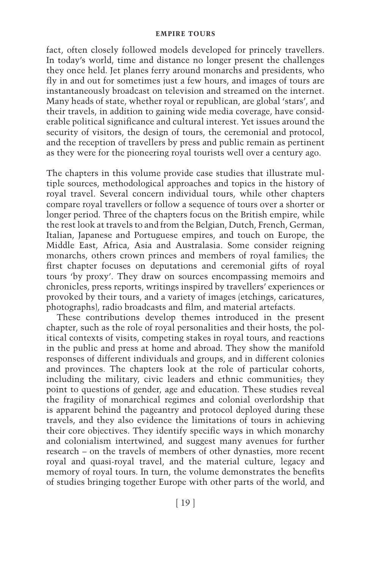fact, often closely followed models developed for princely travellers. In today's world, time and distance no longer present the challenges they once held. Jet planes ferry around monarchs and presidents, who fly in and out for sometimes just a few hours, and images of tours are instantaneously broadcast on television and streamed on the internet. Many heads of state, whether royal or republican, are global 'stars', and their travels, in addition to gaining wide media coverage, have considerable political significance and cultural interest. Yet issues around the security of visitors, the design of tours, the ceremonial and protocol, and the reception of travellers by press and public remain as pertinent as they were for the pioneering royal tourists well over a century ago.

The chapters in this volume provide case studies that illustrate multiple sources, methodological approaches and topics in the history of royal travel. Several concern individual tours, while other chapters compare royal travellers or follow a sequence of tours over a shorter or longer period. Three of the chapters focus on the British empire, while the rest look at travels to and from the Belgian, Dutch, French, German, Italian, Japanese and Portuguese empires, and touch on Europe, the Middle East, Africa, Asia and Australasia. Some consider reigning monarchs, others crown princes and members of royal families; the first chapter focuses on deputations and ceremonial gifts of royal tours 'by proxy'. They draw on sources encompassing memoirs and chronicles, press reports, writings inspired by travellers' experiences or provoked by their tours, and a variety of images (etchings, caricatures, photographs), radio broadcasts and film, and material artefacts.

These contributions develop themes introduced in the present chapter, such as the role of royal personalities and their hosts, the political contexts of visits, competing stakes in royal tours, and reactions in the public and press at home and abroad. They show the manifold responses of different individuals and groups, and in different colonies and provinces. The chapters look at the role of particular cohorts, including the military, civic leaders and ethnic communities; they point to questions of gender, age and education. These studies reveal the fragility of monarchical regimes and colonial overlordship that is apparent behind the pageantry and protocol deployed during these travels, and they also evidence the limitations of tours in achieving their core objectives. They identify specific ways in which monarchy and colonialism intertwined, and suggest many avenues for further research – on the travels of members of other dynasties, more recent royal and quasi-royal travel, and the material culture, legacy and memory of royal tours. In turn, the volume demonstrates the benefits of studies bringing together Europe with other parts of the world, and

[ 19 ]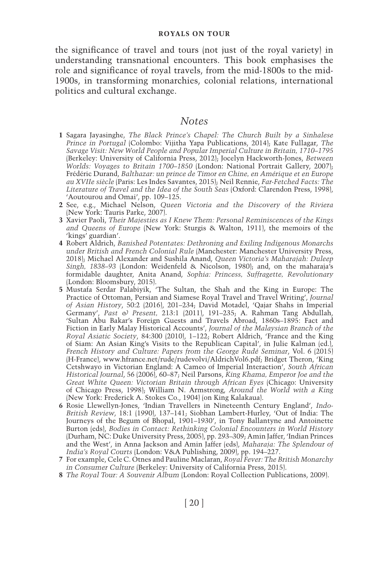the significance of travel and tours (not just of the royal variety) in understanding transnational encounters. This book emphasises the role and significance of royal travels, from the mid-1800s to the mid-1900s, in transforming monarchies, colonial relations, international politics and cultural exchange.

### *Notes*

- 1 Sagara Jayasinghe, *The Black Prince's Chapel: The Church Built by a Sinhalese Prince in Portugal* (Colombo: Vijitha Yapa Publications, 2014); Kate Fullagar, The *Savage Visit: New World People and Popular Imperial Culture in Britain, 1710– 1795*  (Berkeley: University of California Press, 2012); Jocelyn Hackworth-Jones, Between *Worlds: Voyages to Britain 1700–1850* (London: National Portrait Gallery, 2007); Frédéric Durand , *Balthazar: un prince de Timor en Chine, en Amérique et en Europe au XVIIe siècle* ( Paris : Les Indes Savantes , 2015 ); Neil Rennie , *Far- Fetched Facts: The*  Literature of Travel and the Idea of the South Seas (Oxford: Clarendon Press, 1998), 'Aoutourou and Omai', pp. 109–125.
- **2** See, e.g., Michael Nelson , *Queen Victoria and the Discovery of the Riviera*  (New York: Tauris Parke, 2007).
- **3** Xavier Paoli , *Their Majesties as I Knew Them: Personal Reminiscences of the Kings and Queens of Europe* (New York: Sturgis & Walton, 1911), the memoirs of the 'kings' guardian'.
- **4** Robert Aldrich , *Banished Potentates: Dethroning and Exiling Indigenous Monarchs*  under British and French Colonial Rule (Manchester: Manchester University Press, 2018 ); Michael Alexanderand Sushila Anand , *Queen Victoria's Maharajah: Duleep*  Singh, 1838–93 (London: Weidenfeld & Nicolson, 1980); and, on the maharaja's formidable daughter, Anita Anand, Sophia: Princess, Suffragette, Revolutionary (London: Bloomsbury, 2015).
- **5** Mustafa Serdar Palabiyik , ' The Sultan, the Shah and the King in Europe: The Practice of Ottoman, Persian and Siamese Royal Travel and Travel Writing ', *Journal*  of Asian History, 50:2 (2016), 201-234; David Motadel, 'Qajar Shahs in Imperial Germany', *Past & Present*, 213:1 (2011), 191-235; A. Rahman Tang Abdullah, 'Sultan Abu Bakar's Foreign Guests and Travels Abroad, 1860s-1895: Fact and Fiction in Early Malay Historical Accounts ', *Journal of the Malaysian Branch of the Royal Asiatic Society, 84:300 (2010), 1-122; Robert Aldrich, 'France and the King* of Siam: An Asian King's Visits to the Republican Capital ', in Julie Kalman(ed.), *French History and Culture: Papers from the George Rudé Seminar, Vol. 6 (2015)* (H-France), www.hfrance.net/rude/rudevolvi/AldrichVol6.pdf; Bridget Theron, 'King Cetshwayo in Victorian England: A Cameo of Imperial Interaction ', *South African Historical Journal* , 56( 2006 ), 60 – 87 ; Neil Parsons , *King Khama, Emperor Joe and the Great White Queen: Victorian Britain through African Eyes (Chicago: University* of Chicago Press, 1998); William N. Armstrong, *Around the World with a King* (New York: Frederick A. Stokes Co., 1904) (on King Kalakaua).
- **6** Rosie Llewellyn- Jones , ' Indian Travellers in Nineteenth Century England ', *Indo-British Review, 18:1 (1990), 137-141; Siobhan Lambert-Hurley, 'Out of India: The* Journeys of the Begum of Bhopal, 1901–1930', in Tony Ballantyne and Antoinette Burton(eds), *Bodies in Contact: Rethinking Colonial Encounters in World History*  ( Durham, NC : Duke University Press , 2005 ), pp. 293 – 309 ; Amin Jaffer , ' Indian Princes and the West', in Anna Jackson and Amin Jaffer (eds), *Maharaja: The Splendour of India's Royal Courts (London: V&A Publishing, 2009), pp. 194-227.*
- **7** For example, Cele C. Otnesand Pauline Maclaran , *Royal Fever: The British Monarchy in Consumer Culture* (Berkeley: University of California Press, 2015).
- 8 The Royal Tour: A Souvenir Album (London: Royal Collection Publications, 2009).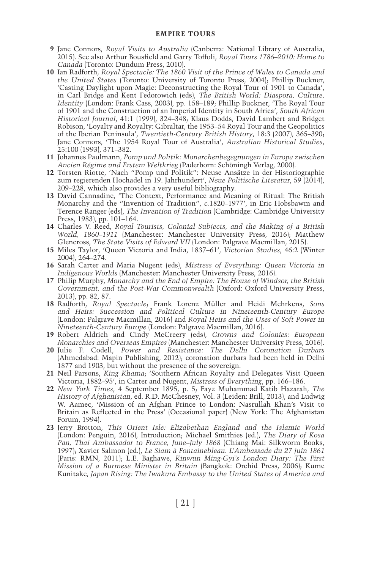- **9** Jane Connors, *Royal Visits to Australia* (Canberra: National Library of Australia, 2015). See also Arthur Bousfield and Garry Toffoli, *Royal Tours 1786–2010: Home to Canada* (Toronto: Dundum Press, 2010).
- 10 Ian Radforth, *Royal Spectacle: The 1860 Visit of the Prince of Wales to Canada and the United States* (Toronto: University of Toronto Press, 2004); Phillip Buckner, ' Casting Daylight upon Magic: Deconstructing the Royal Tour of 1901 to Canada ', in Carl Bridge and Kent Fedorowich (eds), *The British World: Diaspora, Culture, Identity* (London: Frank Cass, 2003), pp. 158-189; Phillip Buckner, 'The Royal Tour of 1901 and the Construction of an Imperial Identity in South Africa ', *South African Historical Journal*, 41:1 (1999), 324-348; Klaus Dodds, David Lambert and Bridget Robison, 'Loyalty and Royalty: Gibraltar, the 1953-54 Royal Tour and the Geopolitics of the Iberian Peninsula', *Twentieth-Century British History*, 18:3 (2007), 365–390; Jane Connors, 'The 1954 Royal Tour of Australia', *Australian Historical Studies*, 25:100 (1993), 371-382.
- **11** Johannes Paulmann , *Pomp und Politik: Monarchenbegegnungen in Europa zwischen Ancien Régime und Erstem Weltkrieg* (Paderborn: Schöningh Verlag, 2000).
- 12 Torsten Riotte, 'Nach "Pomp und Politik": Neuse Ansätze in der Historiographie zum regierenden Hochadel in 19. Jahrhundert', *Neue Politische Literatur*, 59<sup>(2014)</sup>,  $209 - 228$ , which also provides a very useful bibliography.
- 13 David Cannadine, 'The Context, Performance and Meaning of Ritual: The British Monarchy and the "Invention of Tradition", *c*.1820-1977', in Eric Hobsbawm and Terence Ranger (eds) , *The Invention of Tradition* ( Cambridge : Cambridge University Press, 1983), pp. 101–164.
- 14 Charles V. Reed, *Royal Tourists*, *Colonial Subjects*, and the Making of a British *World, 1860-1911 (Manchester: Manchester University Press, 2016); Matthew* Glencross, *The State Visits of Edward VII* (London: Palgrave Macmillan, 2015).
- **15** Miles Taylor , ' Queen Victoria and India, 1837– 61 ', *Victorian Studies* , 46 : 2(Winter 2004), 264-274.
- 16 Sarah Carter and Maria Nugent (eds), *Mistress of Everything: Queen Victoria in Indigenous Worlds (Manchester: Manchester University Press, 2016).*
- **17** Philip Murphy , *Monarchy and the End of Empire: The House of Windsor, the British Government, and the Post- War Commonwealth* ( Oxford : Oxford University Press , 2013), pp. 82, 87.
- 18 Radforth, *Royal Spectacle*; Frank Lorenz Müller and Heidi Mehrkens, *Sons and Heirs: Succession and Political Culture in Nineteenth- Century Europe*  (London: Palgrave Macmillan, 2016) and *Royal Heirs and the Uses of Soft Power in Nineteenth-Century Europe* (London: Palgrave Macmillan, 2016).
- **19** Robert Aldrichand Cindy McCreery(eds), *Crowns and Colonies: European Monarchies and Overseas Empires (Manchester: Manchester University Press, 2016).*
- **20** Julie F. Codell , *Power and Resistance: The Delhi Coronation Durbars*  (Ahmedabad: Mapin Publishing, 2012); coronation durbars had been held in Delhi 1877 and 1903, but without the presence of the sovereign.
- 21 Neil Parsons, *King Khama*; 'Southern African Royalty and Delegates Visit Queen Victoria, 1882–95', in Carter and Nugent, *Mistress of Everything*, pp. 166–186.
- **22** *New York Times* , 4 September 1895, p. 5; Fayz Muhammad Katib Hazarah , *The*  History of Afghanistan, ed. R.D. McChesney, Vol. 3 (Leiden: Brill, 2013), and Ludwig W. Aamec, 'Mission of an Afghan Prince to London: Nasrullah Khan's Visit to Britain as Reflected in the Press' (Occasional paper) (New York: The Afghanistan Forum, 1994).
- **23** Jerry Brotton , *This Orient Isle: Elizabethan England and the Islamic World*  ( London : Penguin , 2016 ), Introduction; Michael Smithies(ed.), *The Diary of Kosa Pan, Thai Ambassador to France, June–July 1868* (Chiang Mai: Silkworm Books, 1997 ); Xavier Salmon(ed.), *Le Siam à Fontainebleau. L'Ambassade du 27 juin 1861*  ( Paris : RMN , 2011 ); L.E. Baghawe , *Kinwun Ming- Gyi's London Diary: The First Mission of a Burmese Minister in Britain* (Bangkok: Orchid Press, 2006); Kume Kunitake, *Japan Rising: The Iwakura Embassy to the United States of America and*